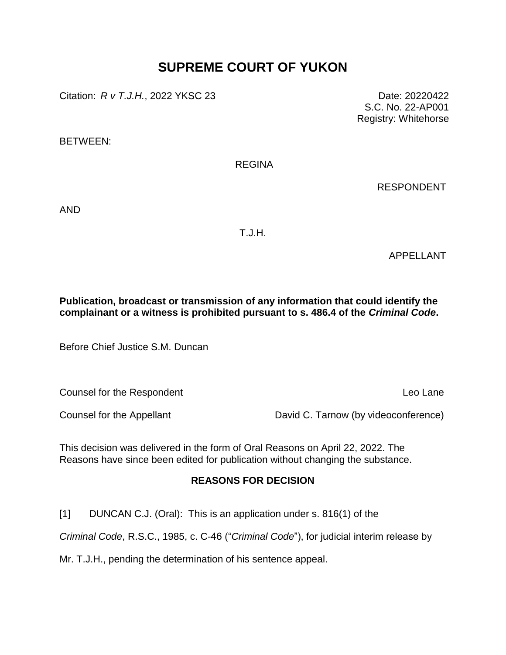# **SUPREME COURT OF YUKON**

Citation: *R v T.J.H.*, 2022 YKSC 23 Date: 20220422

S.C. No. 22-AP001 Registry: Whitehorse

BETWEEN:

REGINA

RESPONDENT

AND

T.J.H.

APPELLANT

**Publication, broadcast or transmission of any information that could identify the complainant or a witness is prohibited pursuant to s. 486.4 of the** *Criminal Code***.**

Before Chief Justice S.M. Duncan

**Counsel for the Respondent Counsel For the Respondent Counsel For the Lane** 

Counsel for the Appellant David C. Tarnow (by videoconference)

This decision was delivered in the form of Oral Reasons on April 22, 2022. The Reasons have since been edited for publication without changing the substance.

## **REASONS FOR DECISION**

[1] DUNCAN C.J. (Oral): This is an application under s. 816(1) of the

*Criminal Code*, R.S.C., 1985, c. C-46 ("*Criminal Code*"), for judicial interim release by

Mr. T.J.H., pending the determination of his sentence appeal.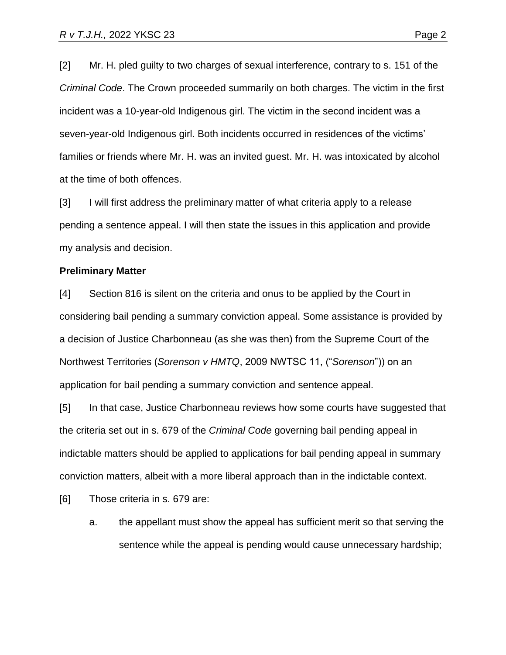[2] Mr. H. pled guilty to two charges of sexual interference, contrary to s. 151 of the *Criminal Code*. The Crown proceeded summarily on both charges. The victim in the first incident was a 10-year-old Indigenous girl. The victim in the second incident was a seven-year-old Indigenous girl. Both incidents occurred in residences of the victims' families or friends where Mr. H. was an invited guest. Mr. H. was intoxicated by alcohol at the time of both offences.

[3] I will first address the preliminary matter of what criteria apply to a release pending a sentence appeal. I will then state the issues in this application and provide my analysis and decision.

#### **Preliminary Matter**

[4] Section 816 is silent on the criteria and onus to be applied by the Court in considering bail pending a summary conviction appeal. Some assistance is provided by a decision of Justice Charbonneau (as she was then) from the Supreme Court of the Northwest Territories (*Sorenson v HMTQ*, 2009 NWTSC 11, ("*Sorenson*")) on an application for bail pending a summary conviction and sentence appeal.

[5] In that case, Justice Charbonneau reviews how some courts have suggested that the criteria set out in s. 679 of the *Criminal Code* governing bail pending appeal in indictable matters should be applied to applications for bail pending appeal in summary conviction matters, albeit with a more liberal approach than in the indictable context.

[6] Those criteria in s. 679 are:

a. the appellant must show the appeal has sufficient merit so that serving the sentence while the appeal is pending would cause unnecessary hardship;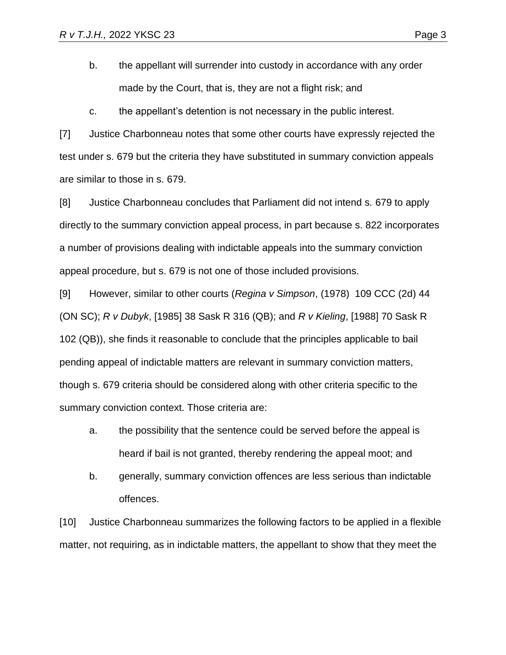b. the appellant will surrender into custody in accordance with any order made by the Court, that is, they are not a flight risk; and

c. the appellant's detention is not necessary in the public interest.

[7] Justice Charbonneau notes that some other courts have expressly rejected the test under s. 679 but the criteria they have substituted in summary conviction appeals are similar to those in s. 679.

[8] Justice Charbonneau concludes that Parliament did not intend s. 679 to apply directly to the summary conviction appeal process, in part because s. 822 incorporates a number of provisions dealing with indictable appeals into the summary conviction appeal procedure, but s. 679 is not one of those included provisions.

[9] However, similar to other courts (*Regina v Simpson*, (1978) 109 CCC (2d) 44 (ON SC); *R v Dubyk*, [1985] 38 Sask R 316 (QB); and *R v Kieling*, [1988] 70 Sask R 102 (QB)), she finds it reasonable to conclude that the principles applicable to bail pending appeal of indictable matters are relevant in summary conviction matters, though s. 679 criteria should be considered along with other criteria specific to the summary conviction context. Those criteria are:

- a. the possibility that the sentence could be served before the appeal is heard if bail is not granted, thereby rendering the appeal moot; and
- b. generally, summary conviction offences are less serious than indictable offences.

[10] Justice Charbonneau summarizes the following factors to be applied in a flexible matter, not requiring, as in indictable matters, the appellant to show that they meet the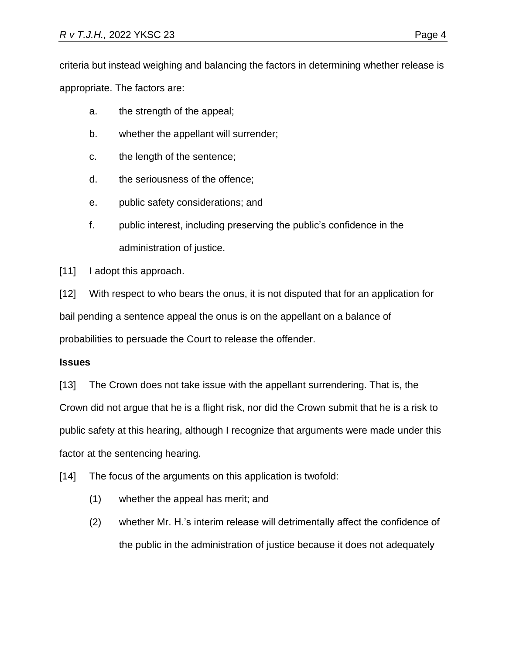criteria but instead weighing and balancing the factors in determining whether release is appropriate. The factors are:

- a. the strength of the appeal;
- b. whether the appellant will surrender;
- c. the length of the sentence;
- d. the seriousness of the offence;
- e. public safety considerations; and
- f. public interest, including preserving the public's confidence in the administration of justice.

[11] I adopt this approach.

[12] With respect to who bears the onus, it is not disputed that for an application for bail pending a sentence appeal the onus is on the appellant on a balance of probabilities to persuade the Court to release the offender.

### **Issues**

[13] The Crown does not take issue with the appellant surrendering. That is, the Crown did not argue that he is a flight risk, nor did the Crown submit that he is a risk to public safety at this hearing, although I recognize that arguments were made under this factor at the sentencing hearing.

[14] The focus of the arguments on this application is twofold:

- (1) whether the appeal has merit; and
- (2) whether Mr. H.'s interim release will detrimentally affect the confidence of the public in the administration of justice because it does not adequately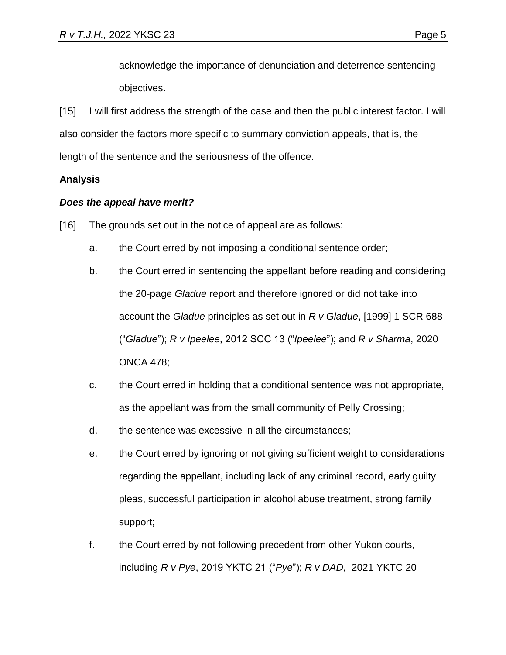acknowledge the importance of denunciation and deterrence sentencing objectives.

[15] I will first address the strength of the case and then the public interest factor. I will also consider the factors more specific to summary conviction appeals, that is, the length of the sentence and the seriousness of the offence.

## **Analysis**

### *Does the appeal have merit?*

- [16] The grounds set out in the notice of appeal are as follows:
	- a. the Court erred by not imposing a conditional sentence order;
	- b. the Court erred in sentencing the appellant before reading and considering the 20-page *Gladue* report and therefore ignored or did not take into account the *Gladue* principles as set out in *R v Gladue*, [1999] 1 SCR 688 ("*Gladue*"); *R v Ipeelee*, 2012 SCC 13 ("*Ipeelee*"); and *R v Sharma*, 2020 ONCA 478;
	- c. the Court erred in holding that a conditional sentence was not appropriate, as the appellant was from the small community of Pelly Crossing;
	- d. the sentence was excessive in all the circumstances;
	- e. the Court erred by ignoring or not giving sufficient weight to considerations regarding the appellant, including lack of any criminal record, early guilty pleas, successful participation in alcohol abuse treatment, strong family support;
	- f. the Court erred by not following precedent from other Yukon courts, including *R v Pye*, 2019 YKTC 21 ("*Pye*"); *R v DAD*, 2021 YKTC 20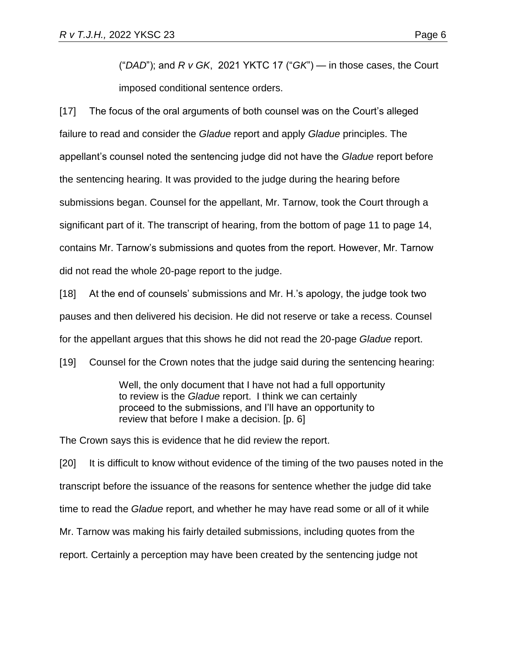("*DAD*"); and *R v GK*, 2021 YKTC 17 ("*GK*") — in those cases, the Court imposed conditional sentence orders.

[17] The focus of the oral arguments of both counsel was on the Court's alleged failure to read and consider the *Gladue* report and apply *Gladue* principles. The appellant's counsel noted the sentencing judge did not have the *Gladue* report before the sentencing hearing. It was provided to the judge during the hearing before submissions began. Counsel for the appellant, Mr. Tarnow, took the Court through a significant part of it. The transcript of hearing, from the bottom of page 11 to page 14, contains Mr. Tarnow's submissions and quotes from the report. However, Mr. Tarnow did not read the whole 20-page report to the judge.

[18] At the end of counsels' submissions and Mr. H.'s apology, the judge took two pauses and then delivered his decision. He did not reserve or take a recess. Counsel for the appellant argues that this shows he did not read the 20-page *Gladue* report.

[19] Counsel for the Crown notes that the judge said during the sentencing hearing:

Well, the only document that I have not had a full opportunity to review is the *Gladue* report. I think we can certainly proceed to the submissions, and I'll have an opportunity to review that before I make a decision. [p. 6]

The Crown says this is evidence that he did review the report.

[20] It is difficult to know without evidence of the timing of the two pauses noted in the transcript before the issuance of the reasons for sentence whether the judge did take time to read the *Gladue* report, and whether he may have read some or all of it while Mr. Tarnow was making his fairly detailed submissions, including quotes from the report. Certainly a perception may have been created by the sentencing judge not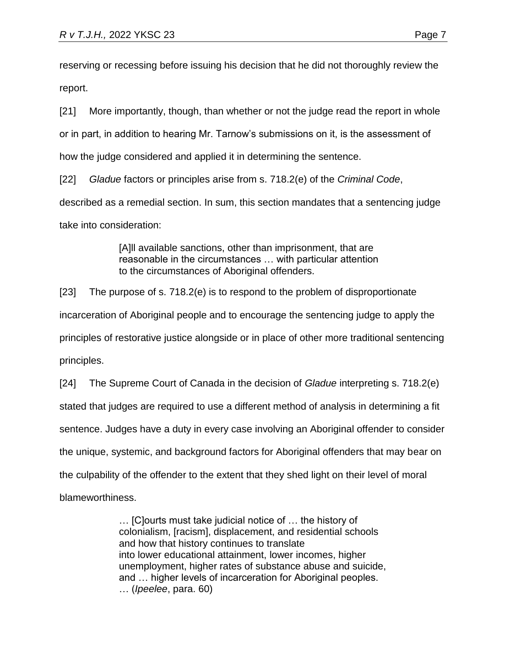reserving or recessing before issuing his decision that he did not thoroughly review the report.

[21] More importantly, though, than whether or not the judge read the report in whole or in part, in addition to hearing Mr. Tarnow's submissions on it, is the assessment of how the judge considered and applied it in determining the sentence.

[22] *Gladue* factors or principles arise from s. 718.2(e) of the *Criminal Code*, described as a remedial section. In sum, this section mandates that a sentencing judge take into consideration:

> [A]II available sanctions, other than imprisonment, that are reasonable in the circumstances … with particular attention to the circumstances of Aboriginal offenders.

[23] The purpose of s. 718.2(e) is to respond to the problem of disproportionate incarceration of Aboriginal people and to encourage the sentencing judge to apply the principles of restorative justice alongside or in place of other more traditional sentencing principles.

[24] The Supreme Court of Canada in the decision of *Gladue* interpreting s. 718.2(e) stated that judges are required to use a different method of analysis in determining a fit sentence. Judges have a duty in every case involving an Aboriginal offender to consider the unique, systemic, and background factors for Aboriginal offenders that may bear on the culpability of the offender to the extent that they shed light on their level of moral blameworthiness.

> … [C]ourts must take judicial notice of … the history of colonialism, [racism], displacement, and residential schools and how that history continues to translate into lower educational attainment, lower incomes, higher unemployment, higher rates of substance abuse and suicide, and … higher levels of incarceration for Aboriginal peoples. … (*Ipeelee*, para. 60)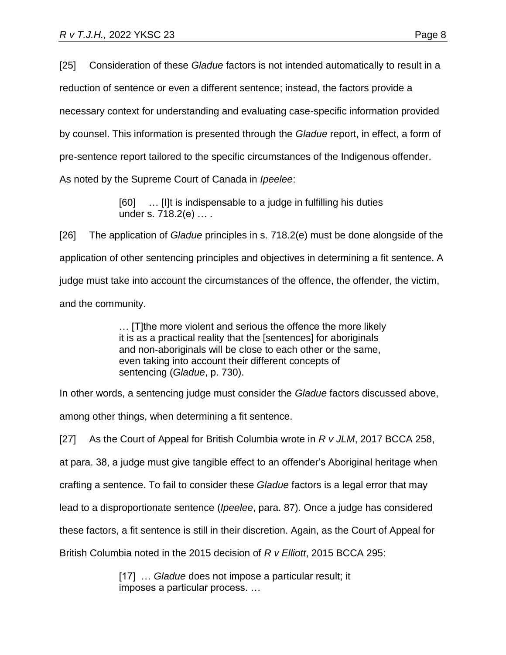[25] Consideration of these *Gladue* factors is not intended automatically to result in a reduction of sentence or even a different sentence; instead, the factors provide a necessary context for understanding and evaluating case-specific information provided by counsel. This information is presented through the *Gladue* report, in effect, a form of pre-sentence report tailored to the specific circumstances of the Indigenous offender. As noted by the Supreme Court of Canada in *Ipeelee*:

> [60] … [I]t is indispensable to a judge in fulfilling his duties under s. [718.2\(](https://www.canlii.org/en/ca/laws/stat/rsc-1985-c-c-46/latest/rsc-1985-c-c-46.html#sec718.2_smooth)e) … .

[26] The application of *Gladue* principles in s. 718.2(e) must be done alongside of the application of other sentencing principles and objectives in determining a fit sentence. A judge must take into account the circumstances of the offence, the offender, the victim, and the community.

> … [T]the more violent and serious the offence the more likely it is as a practical reality that the [sentences] for aboriginals and non‑aboriginals will be close to each other or the same, even taking into account their different concepts of sentencing (*Gladue*, p. 730).

In other words, a sentencing judge must consider the *Gladue* factors discussed above, among other things, when determining a fit sentence.

[27] As the Court of Appeal for British Columbia wrote in *R v JLM*, 2017 BCCA 258,

at para. 38, a judge must give tangible effect to an offender's Aboriginal heritage when

crafting a sentence. To fail to consider these *Gladue* factors is a legal error that may

lead to a disproportionate sentence (*Ipeelee*, para. 87). Once a judge has considered

these factors, a fit sentence is still in their discretion. Again, as the Court of Appeal for

British Columbia noted in the 2015 decision of *R v Elliott*, 2015 BCCA 295:

[17] … *Gladue* does not impose a particular result; it imposes a particular process. …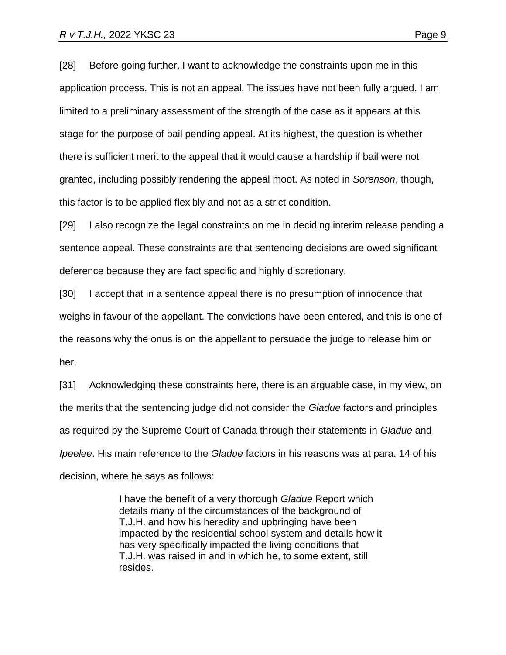[28] Before going further, I want to acknowledge the constraints upon me in this application process. This is not an appeal. The issues have not been fully argued. I am limited to a preliminary assessment of the strength of the case as it appears at this stage for the purpose of bail pending appeal. At its highest, the question is whether there is sufficient merit to the appeal that it would cause a hardship if bail were not granted, including possibly rendering the appeal moot. As noted in *Sorenson*, though, this factor is to be applied flexibly and not as a strict condition.

[29] I also recognize the legal constraints on me in deciding interim release pending a sentence appeal. These constraints are that sentencing decisions are owed significant deference because they are fact specific and highly discretionary.

[30] I accept that in a sentence appeal there is no presumption of innocence that weighs in favour of the appellant. The convictions have been entered, and this is one of the reasons why the onus is on the appellant to persuade the judge to release him or her.

[31] Acknowledging these constraints here, there is an arguable case, in my view, on the merits that the sentencing judge did not consider the *Gladue* factors and principles as required by the Supreme Court of Canada through their statements in *Gladue* and *Ipeelee*. His main reference to the *Gladue* factors in his reasons was at para. 14 of his decision, where he says as follows:

> I have the benefit of a very thorough *Gladue* Report which details many of the circumstances of the background of T.J.H. and how his heredity and upbringing have been impacted by the residential school system and details how it has very specifically impacted the living conditions that T.J.H. was raised in and in which he, to some extent, still resides.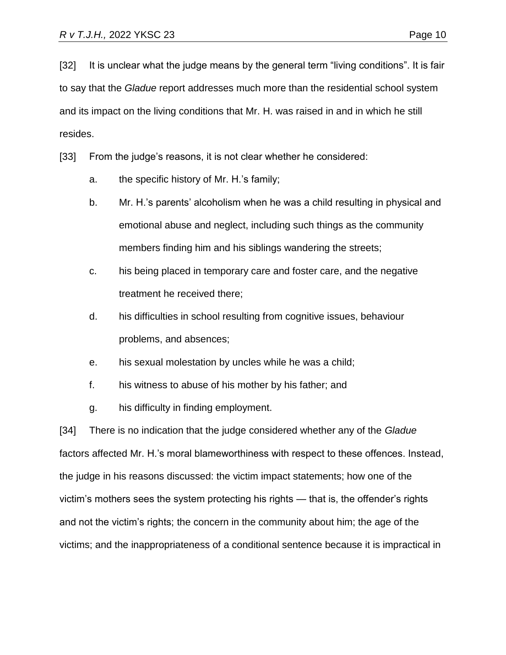[32] It is unclear what the judge means by the general term "living conditions". It is fair to say that the *Gladue* report addresses much more than the residential school system and its impact on the living conditions that Mr. H. was raised in and in which he still resides.

[33] From the judge's reasons, it is not clear whether he considered:

- a. the specific history of Mr. H.'s family;
- b. Mr. H.'s parents' alcoholism when he was a child resulting in physical and emotional abuse and neglect, including such things as the community members finding him and his siblings wandering the streets;
- c. his being placed in temporary care and foster care, and the negative treatment he received there;
- d. his difficulties in school resulting from cognitive issues, behaviour problems, and absences;
- e. his sexual molestation by uncles while he was a child;
- f. his witness to abuse of his mother by his father; and
- g. his difficulty in finding employment.

[34] There is no indication that the judge considered whether any of the *Gladue* factors affected Mr. H.'s moral blameworthiness with respect to these offences. Instead, the judge in his reasons discussed: the victim impact statements; how one of the victim's mothers sees the system protecting his rights — that is, the offender's rights and not the victim's rights; the concern in the community about him; the age of the victims; and the inappropriateness of a conditional sentence because it is impractical in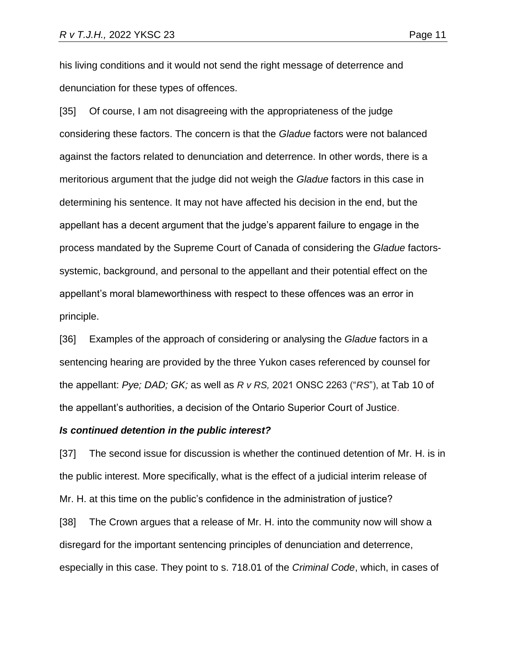his living conditions and it would not send the right message of deterrence and denunciation for these types of offences.

[35] Of course, I am not disagreeing with the appropriateness of the judge considering these factors. The concern is that the *Gladue* factors were not balanced against the factors related to denunciation and deterrence. In other words, there is a meritorious argument that the judge did not weigh the *Gladue* factors in this case in determining his sentence. It may not have affected his decision in the end, but the appellant has a decent argument that the judge's apparent failure to engage in the process mandated by the Supreme Court of Canada of considering the *Gladue* factorssystemic, background, and personal to the appellant and their potential effect on the appellant's moral blameworthiness with respect to these offences was an error in principle.

[36] Examples of the approach of considering or analysing the *Gladue* factors in a sentencing hearing are provided by the three Yukon cases referenced by counsel for the appellant: *Pye; DAD; GK;* as well as *R v RS,* 2021 ONSC 2263 ("*RS*"), at Tab 10 of the appellant's authorities, a decision of the Ontario Superior Court of Justice.

#### *Is continued detention in the public interest?*

[37] The second issue for discussion is whether the continued detention of Mr. H. is in the public interest. More specifically, what is the effect of a judicial interim release of Mr. H. at this time on the public's confidence in the administration of justice?

[38] The Crown argues that a release of Mr. H. into the community now will show a disregard for the important sentencing principles of denunciation and deterrence, especially in this case. They point to s. 718.01 of the *Criminal Code*, which, in cases of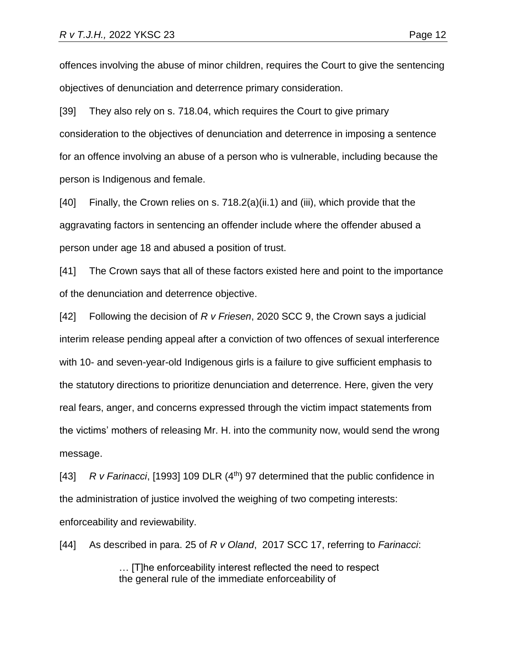offences involving the abuse of minor children, requires the Court to give the sentencing objectives of denunciation and deterrence primary consideration.

[39] They also rely on s. 718.04, which requires the Court to give primary consideration to the objectives of denunciation and deterrence in imposing a sentence for an offence involving an abuse of a person who is vulnerable, including because the person is Indigenous and female.

[40] Finally, the Crown relies on s. 718.2(a)(ii.1) and (iii), which provide that the aggravating factors in sentencing an offender include where the offender abused a person under age 18 and abused a position of trust.

[41] The Crown says that all of these factors existed here and point to the importance of the denunciation and deterrence objective.

[42] Following the decision of *R v Friesen*, 2020 SCC 9, the Crown says a judicial interim release pending appeal after a conviction of two offences of sexual interference with 10- and seven-year-old Indigenous girls is a failure to give sufficient emphasis to the statutory directions to prioritize denunciation and deterrence. Here, given the very real fears, anger, and concerns expressed through the victim impact statements from the victims' mothers of releasing Mr. H. into the community now, would send the wrong message.

[43] *R v Farinacci*, [1993] 109 DLR (4<sup>th</sup>) 97 determined that the public confidence in the administration of justice involved the weighing of two competing interests: enforceability and reviewability.

[44] As described in para. 25 of *R v Oland*, 2017 SCC 17, referring to *Farinacci*:

… [T]he enforceability interest reflected the need to respect the general rule of the immediate enforceability of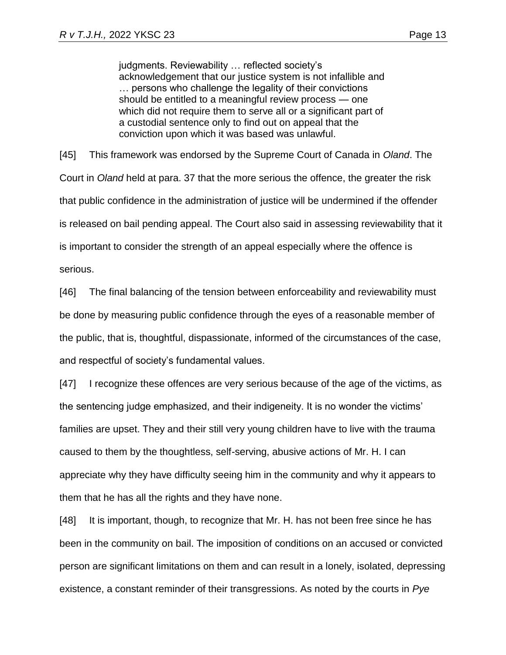judgments. Reviewability … reflected society's acknowledgement that our justice system is not infallible and … persons who challenge the legality of their convictions should be entitled to a meaningful review process — one which did not require them to serve all or a significant part of a custodial sentence only to find out on appeal that the conviction upon which it was based was unlawful.

[45] This framework was endorsed by the Supreme Court of Canada in *Oland*. The Court in *Oland* held at para. 37 that the more serious the offence, the greater the risk that public confidence in the administration of justice will be undermined if the offender is released on bail pending appeal. The Court also said in assessing reviewability that it is important to consider the strength of an appeal especially where the offence is serious.

[46] The final balancing of the tension between enforceability and reviewability must be done by measuring public confidence through the eyes of a reasonable member of the public, that is, thoughtful, dispassionate, informed of the circumstances of the case, and respectful of society's fundamental values.

[47] I recognize these offences are very serious because of the age of the victims, as the sentencing judge emphasized, and their indigeneity. It is no wonder the victims' families are upset. They and their still very young children have to live with the trauma caused to them by the thoughtless, self-serving, abusive actions of Mr. H. I can appreciate why they have difficulty seeing him in the community and why it appears to them that he has all the rights and they have none.

[48] It is important, though, to recognize that Mr. H. has not been free since he has been in the community on bail. The imposition of conditions on an accused or convicted person are significant limitations on them and can result in a lonely, isolated, depressing existence, a constant reminder of their transgressions. As noted by the courts in *Pye*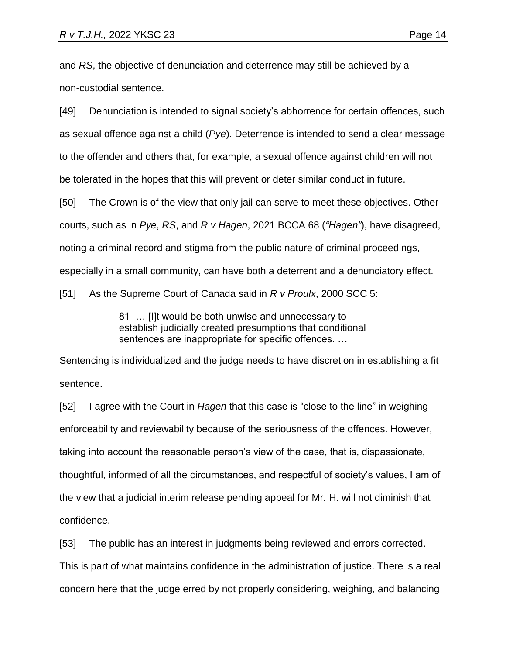and *RS*, the objective of denunciation and deterrence may still be achieved by a non-custodial sentence.

[49] Denunciation is intended to signal society's abhorrence for certain offences, such as sexual offence against a child (*Pye*). Deterrence is intended to send a clear message to the offender and others that, for example, a sexual offence against children will not be tolerated in the hopes that this will prevent or deter similar conduct in future. [50] The Crown is of the view that only jail can serve to meet these objectives. Other

courts, such as in *Pye*, *RS*, and *R v Hagen*, 2021 BCCA 68 (*"Hagen"*), have disagreed,

noting a criminal record and stigma from the public nature of criminal proceedings,

especially in a small community, can have both a deterrent and a denunciatory effect.

[51] As the Supreme Court of Canada said in *R v Proulx*, 2000 SCC 5:

81 … [I]t would be both unwise and unnecessary to establish judicially created presumptions that conditional sentences are inappropriate for specific offences. …

Sentencing is individualized and the judge needs to have discretion in establishing a fit sentence.

[52] I agree with the Court in *Hagen* that this case is "close to the line" in weighing enforceability and reviewability because of the seriousness of the offences. However, taking into account the reasonable person's view of the case, that is, dispassionate, thoughtful, informed of all the circumstances, and respectful of society's values, I am of the view that a judicial interim release pending appeal for Mr. H. will not diminish that confidence.

[53] The public has an interest in judgments being reviewed and errors corrected.

This is part of what maintains confidence in the administration of justice. There is a real

concern here that the judge erred by not properly considering, weighing, and balancing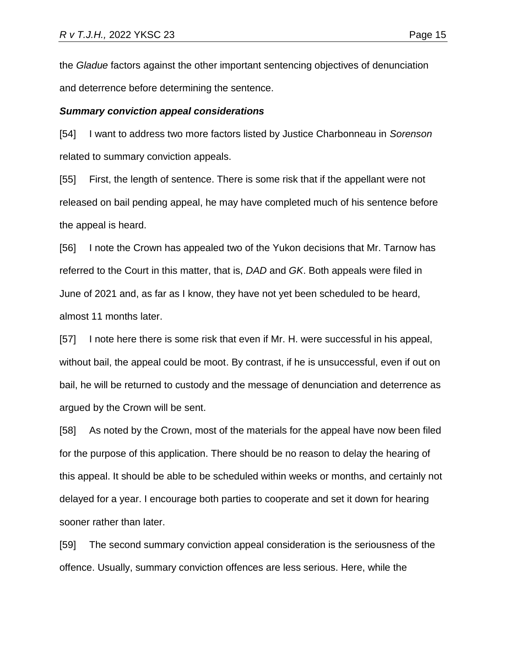the *Gladue* factors against the other important sentencing objectives of denunciation and deterrence before determining the sentence.

#### *Summary conviction appeal considerations*

[54] I want to address two more factors listed by Justice Charbonneau in *Sorenson* related to summary conviction appeals.

[55] First, the length of sentence. There is some risk that if the appellant were not released on bail pending appeal, he may have completed much of his sentence before the appeal is heard.

[56] I note the Crown has appealed two of the Yukon decisions that Mr. Tarnow has referred to the Court in this matter, that is, *DAD* and *GK*. Both appeals were filed in June of 2021 and, as far as I know, they have not yet been scheduled to be heard, almost 11 months later.

[57] I note here there is some risk that even if Mr. H. were successful in his appeal, without bail, the appeal could be moot. By contrast, if he is unsuccessful, even if out on bail, he will be returned to custody and the message of denunciation and deterrence as argued by the Crown will be sent.

[58] As noted by the Crown, most of the materials for the appeal have now been filed for the purpose of this application. There should be no reason to delay the hearing of this appeal. It should be able to be scheduled within weeks or months, and certainly not delayed for a year. I encourage both parties to cooperate and set it down for hearing sooner rather than later.

[59] The second summary conviction appeal consideration is the seriousness of the offence. Usually, summary conviction offences are less serious. Here, while the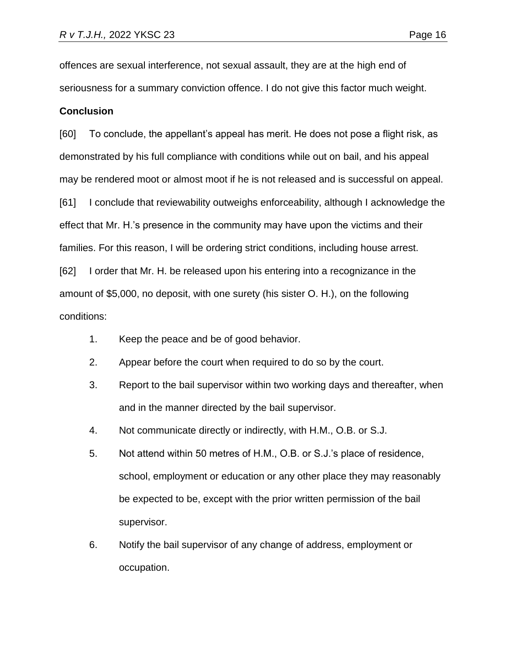offences are sexual interference, not sexual assault, they are at the high end of seriousness for a summary conviction offence. I do not give this factor much weight.

### **Conclusion**

[60] To conclude, the appellant's appeal has merit. He does not pose a flight risk, as demonstrated by his full compliance with conditions while out on bail, and his appeal may be rendered moot or almost moot if he is not released and is successful on appeal. [61] I conclude that reviewability outweighs enforceability, although I acknowledge the effect that Mr. H.'s presence in the community may have upon the victims and their families. For this reason, I will be ordering strict conditions, including house arrest. [62] I order that Mr. H. be released upon his entering into a recognizance in the amount of \$5,000, no deposit, with one surety (his sister O. H.), on the following

conditions:

- 1. Keep the peace and be of good behavior.
- 2. Appear before the court when required to do so by the court.
- 3. Report to the bail supervisor within two working days and thereafter, when and in the manner directed by the bail supervisor.
- 4. Not communicate directly or indirectly, with H.M., O.B. or S.J.
- 5. Not attend within 50 metres of H.M., O.B. or S.J.'s place of residence, school, employment or education or any other place they may reasonably be expected to be, except with the prior written permission of the bail supervisor.
- 6. Notify the bail supervisor of any change of address, employment or occupation.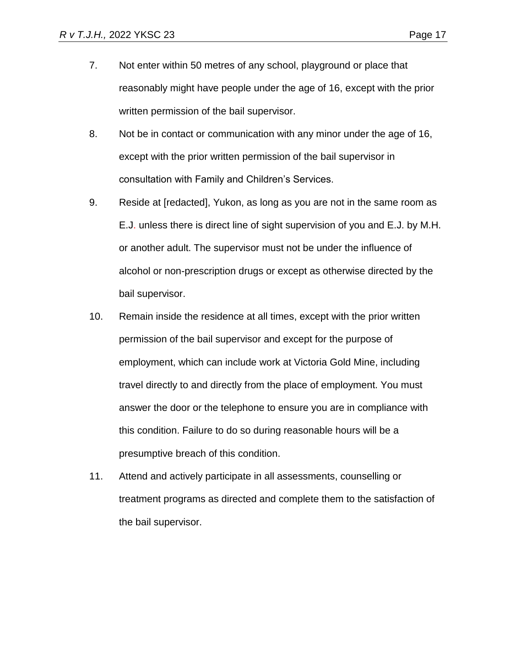- 7. Not enter within 50 metres of any school, playground or place that reasonably might have people under the age of 16, except with the prior written permission of the bail supervisor.
- 8. Not be in contact or communication with any minor under the age of 16, except with the prior written permission of the bail supervisor in consultation with Family and Children's Services.
- 9. Reside at [redacted], Yukon, as long as you are not in the same room as E.J. unless there is direct line of sight supervision of you and E.J. by M.H. or another adult. The supervisor must not be under the influence of alcohol or non-prescription drugs or except as otherwise directed by the bail supervisor.
- 10. Remain inside the residence at all times, except with the prior written permission of the bail supervisor and except for the purpose of employment, which can include work at Victoria Gold Mine, including travel directly to and directly from the place of employment. You must answer the door or the telephone to ensure you are in compliance with this condition. Failure to do so during reasonable hours will be a presumptive breach of this condition.
- 11. Attend and actively participate in all assessments, counselling or treatment programs as directed and complete them to the satisfaction of the bail supervisor.